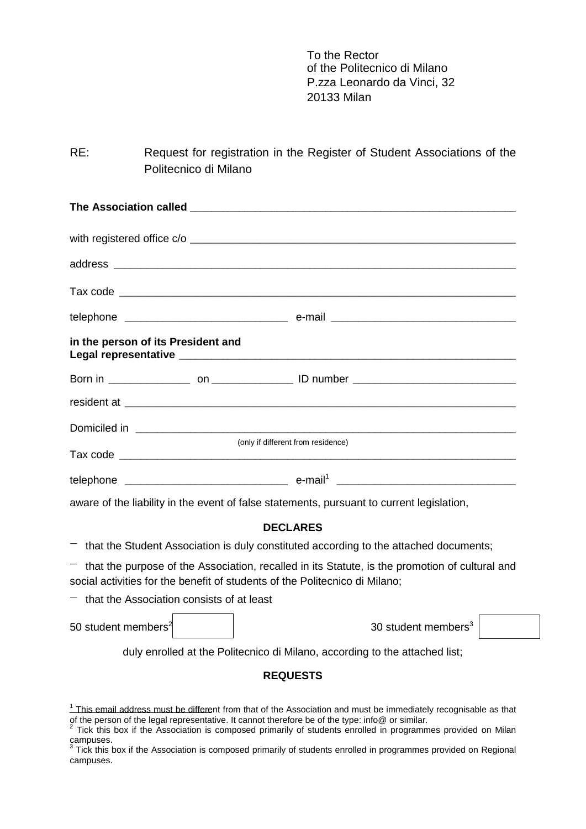To the Rector of the Politecnico di Milano P.zza Leonardo da Vinci, 32 20133 Milan

RE: Request for registration in the Register of Student Associations of the Politecnico di Milano

| in the person of its President and |                                    |  |
|------------------------------------|------------------------------------|--|
|                                    |                                    |  |
|                                    |                                    |  |
|                                    |                                    |  |
|                                    | (only if different from residence) |  |
|                                    |                                    |  |

aware of the liability in the event of false statements, pursuant to current legislation,

## **DECLARES**

 $-$  that the Student Association is duly constituted according to the attached documents;

 $-$  that the purpose of the Association, recalled in its Statute, is the promotion of cultural and social activities for the benefit of students of the Politecnico di Milano;

 $-$  that the Association consists of at least

50 student members<sup>2</sup> and the student members<sup>3</sup> and the student members<sup>3</sup>

duly enrolled at the Politecnico di Milano, according to the attached list;

## **REQUESTS**

 $<sup>1</sup>$  This email address must be different from that of the Association and must be immediately recognisable as that</sup> of the person of the legal representative. It cannot therefore be of the type: info@ or similar.

<sup>2</sup> Tick this box if the Association is composed primarily of students enrolled in programmes provided on Milan campuses.

 $3$  Tick this box if the Association is composed primarily of students enrolled in programmes provided on Regional campuses.